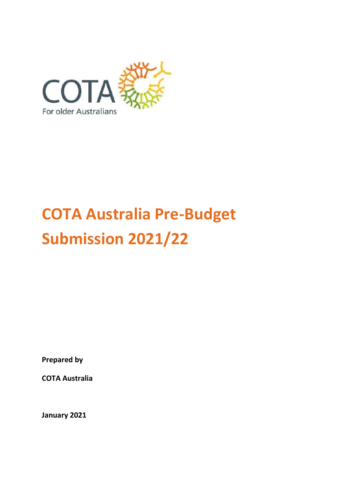

# **COTA Australia Pre-Budget Submission 2021/22**

**Prepared by**

**COTA Australia**

**January 2021**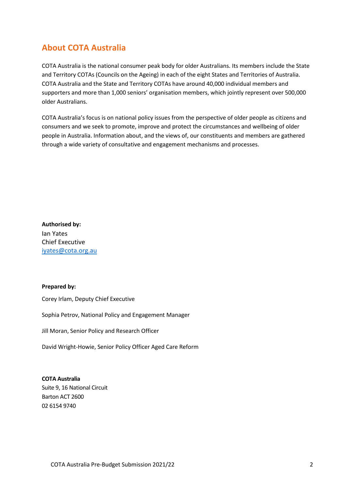# <span id="page-1-0"></span>**About COTA Australia**

COTA Australia is the national consumer peak body for older Australians. Its members include the State and Territory COTAs (Councils on the Ageing) in each of the eight States and Territories of Australia. COTA Australia and the State and Territory COTAs have around 40,000 individual members and supporters and more than 1,000 seniors' organisation members, which jointly represent over 500,000 older Australians.

COTA Australia's focus is on national policy issues from the perspective of older people as citizens and consumers and we seek to promote, improve and protect the circumstances and wellbeing of older people in Australia. Information about, and the views of, our constituents and members are gathered through a wide variety of consultative and engagement mechanisms and processes.

**Authorised by:** Ian Yates Chief Executive [iyates@cota.org.au](mailto:iyates@cota.org.au) 

#### **Prepared by:**

Corey Irlam, Deputy Chief Executive

Sophia Petrov, National Policy and Engagement Manager

Jill Moran, Senior Policy and Research Officer

David Wright-Howie, Senior Policy Officer Aged Care Reform

**COTA Australia** Suite 9, 16 National Circuit Barton ACT 2600 02 6154 9740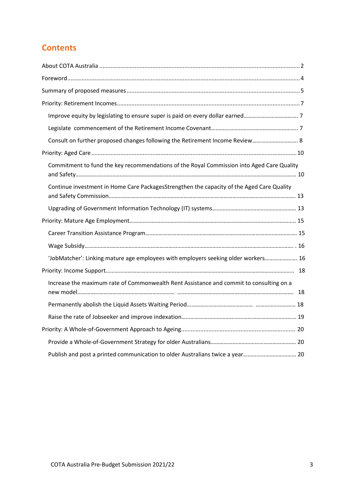# **Contents**

| Consult on further proposed changes following the Retirement Income Review 8              |  |
|-------------------------------------------------------------------------------------------|--|
|                                                                                           |  |
| Commitment to fund the key recommendations of the Royal Commission into Aged Care Quality |  |
| Continue investment in Home Care PackagesStrengthen the capacity of the Aged Care Quality |  |
|                                                                                           |  |
|                                                                                           |  |
|                                                                                           |  |
|                                                                                           |  |
| 'JobMatcher': Linking mature age employees with employers seeking older workers 16        |  |
|                                                                                           |  |
| Increase the maximum rate of Commonwealth Rent Assistance and commit to consulting on a   |  |
|                                                                                           |  |
|                                                                                           |  |
|                                                                                           |  |
|                                                                                           |  |
|                                                                                           |  |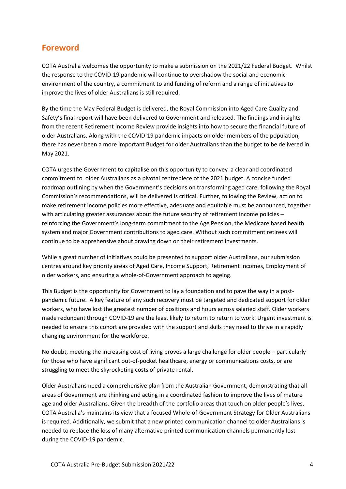# <span id="page-3-0"></span>**Foreword**

COTA Australia welcomes the opportunity to make a submission on the 2021/22 Federal Budget. Whilst the response to the COVID-19 pandemic will continue to overshadow the social and economic environment of the country, a commitment to and funding of reform and a range of initiatives to improve the lives of older Australians is still required.

By the time the May Federal Budget is delivered, the Royal Commission into Aged Care Quality and Safety's final report will have been delivered to Government and released. The findings and insights from the recent Retirement Income Review provide insights into how to secure the financial future of older Australians. Along with the COVID-19 pandemic impacts on older members of the population, there has never been a more important Budget for older Australians than the budget to be delivered in May 2021.

COTA urges the Government to capitalise on this opportunity to convey a clear and coordinated commitment to older Australians as a pivotal centrepiece of the 2021 budget. A concise funded roadmap outlining by when the Government's decisions on transforming aged care, following the Royal Commission's recommendations, will be delivered is critical. Further, following the Review, action to make retirement income policies more effective, adequate and equitable must be announced, together with articulating greater assurances about the future security of retirement income policies – reinforcing the Government's long-term commitment to the Age Pension, the Medicare based health system and major Government contributions to aged care. Without such commitment retirees will continue to be apprehensive about drawing down on their retirement investments.

While a great number of initiatives could be presented to support older Australians, our submission centres around key priority areas of Aged Care, Income Support, Retirement Incomes, Employment of older workers, and ensuring a whole-of-Government approach to ageing.

This Budget is the opportunity for Government to lay a foundation and to pave the way in a postpandemic future. A key feature of any such recovery must be targeted and dedicated support for older workers, who have lost the greatest number of positions and hours across salaried staff. Older workers made redundant through COVID-19 are the least likely to return to return to work. Urgent investment is needed to ensure this cohort are provided with the support and skills they need to thrive in a rapidly changing environment for the workforce.

No doubt, meeting the increasing cost of living proves a large challenge for older people – particularly for those who have significant out-of-pocket healthcare, energy or communications costs, or are struggling to meet the skyrocketing costs of private rental.

Older Australians need a comprehensive plan from the Australian Government, demonstrating that all areas of Government are thinking and acting in a coordinated fashion to improve the lives of mature age and older Australians. Given the breadth of the portfolio areas that touch on older people's lives, COTA Australia's maintains its view that a focused Whole-of-Government Strategy for Older Australians is required. Additionally, we submit that a new printed communication channel to older Australians is needed to replace the loss of many alternative printed communication channels permanently lost during the COVID-19 pandemic.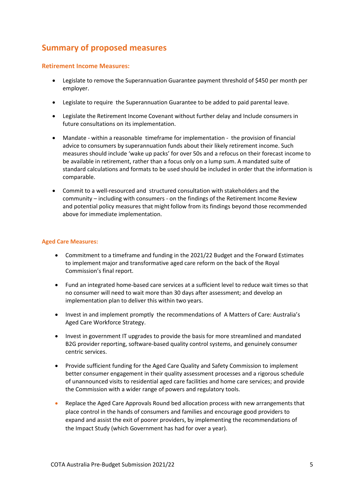# <span id="page-4-0"></span>**Summary of proposed measures**

#### **Retirement Income Measures:**

- Legislate to remove the Superannuation Guarantee payment threshold of \$450 per month per employer.
- Legislate to require the Superannuation Guarantee to be added to paid parental leave.
- Legislate the Retirement Income Covenant without further delay and Include consumers in future consultations on its implementation.
- Mandate within a reasonable timeframe for implementation the provision of financial advice to consumers by superannuation funds about their likely retirement income. Such measures should include 'wake up packs' for over 50s and a refocus on their forecast income to be available in retirement, rather than a focus only on a lump sum. A mandated suite of standard calculations and formats to be used should be included in order that the information is comparable.
- Commit to a well-resourced and structured consultation with stakeholders and the community – including with consumers - on the findings of the Retirement Income Review and potential policy measures that might follow from its findings beyond those recommended above for immediate implementation.

#### **Aged Care Measures:**

- Commitment to a timeframe and funding in the 2021/22 Budget and the Forward Estimates to implement major and transformative aged care reform on the back of the Royal Commission's final report.
- Fund an integrated home-based care services at a sufficient level to reduce wait times so that no consumer will need to wait more than 30 days after assessment; and develop an implementation plan to deliver this within two years.
- Invest in and implement promptly the recommendations of A Matters of Care: Australia's Aged Care Workforce Strategy.
- Invest in government IT upgrades to provide the basis for more streamlined and mandated B2G provider reporting, software-based quality control systems, and genuinely consumer centric services.
- Provide sufficient funding for the Aged Care Quality and Safety Commission to implement better consumer engagement in their quality assessment processes and a rigorous schedule of unannounced visits to residential aged care facilities and home care services; and provide the Commission with a wider range of powers and regulatory tools.
- Replace the Aged Care Approvals Round bed allocation process with new arrangements that place control in the hands of consumers and families and encourage good providers to expand and assist the exit of poorer providers, by implementing the recommendations of the Impact Study (which Government has had for over a year).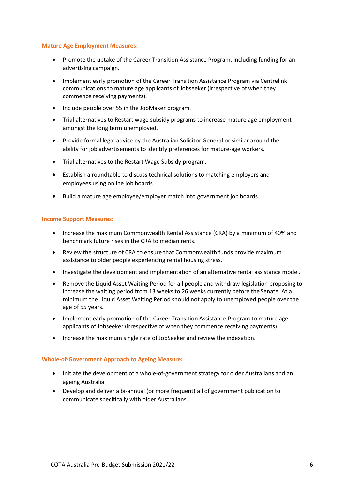#### **Mature Age Employment Measures:**

- Promote the uptake of the Career Transition Assistance Program, including funding for an advertising campaign.
- Implement early promotion of the Career Transition Assistance Program via Centrelink communications to mature age applicants of Jobseeker (irrespective of when they commence receiving payments).
- Include people over 55 in the JobMaker program.
- Trial alternatives to Restart wage subsidy programs to increase mature age employment amongst the long term unemployed.
- Provide formal legal advice by the Australian Solicitor General or similar around the ability for job advertisements to identify preferences for mature-age workers.
- Trial alternatives to the Restart Wage Subsidy program.
- Establish a roundtable to discuss technical solutions to matching employers and employees using online job boards
- Build a mature age employee/employer match into government job boards.

#### **Income Support Measures:**

- Increase the maximum Commonwealth Rental Assistance (CRA) by a minimum of 40% and benchmark future rises in the CRA to median rents.
- Review the structure of CRA to ensure that Commonwealth funds provide maximum assistance to older people experiencing rental housing stress.
- Investigate the development and implementation of an alternative rental assistance model.
- Remove the Liquid Asset Waiting Period for all people and withdraw legislation proposing to increase the waiting period from 13 weeks to 26 weeks currently before the Senate. At a minimum the Liquid Asset Waiting Period should not apply to unemployed people over the age of 55 years.
- Implement early promotion of the Career Transition Assistance Program to mature age applicants of Jobseeker (irrespective of when they commence receiving payments).
- Increase the maximum single rate of JobSeeker and review the indexation.

#### **Whole-of-Government Approach to Ageing Measure:**

- Initiate the development of a whole-of-government strategy for older Australians and an ageing Australia
- Develop and deliver a bi-annual (or more frequent) all of government publication to communicate specifically with older Australians.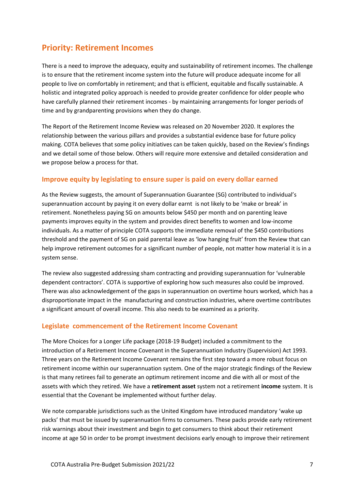# <span id="page-6-0"></span>**Priority: Retirement Incomes**

There is a need to improve the adequacy, equity and sustainability of retirement incomes. The challenge is to ensure that the retirement income system into the future will produce adequate income for all people to live on comfortably in retirement; and that is efficient, equitable and fiscally sustainable. A holistic and integrated policy approach is needed to provide greater confidence for older people who have carefully planned their retirement incomes - by maintaining arrangements for longer periods of time and by grandparenting provisions when they do change.

The Report of the Retirement Income Review was released on 20 November 2020. It explores the relationship between the various pillars and provides a substantial evidence base for future policy making. COTA believes that some policy initiatives can be taken quickly, based on the Review's findings and we detail some of those below. Others will require more extensive and detailed consideration and we propose below a process for that.

## <span id="page-6-1"></span>**Improve equity by legislating to ensure super is paid on every dollar earned**

As the Review suggests, the amount of Superannuation Guarantee (SG) contributed to individual's superannuation account by paying it on every dollar earnt is not likely to be 'make or break' in retirement. Nonetheless paying SG on amounts below \$450 per month and on parenting leave payments improves equity in the system and provides direct benefits to women and low-income individuals. As a matter of principle COTA supports the immediate removal of the \$450 contributions threshold and the payment of SG on paid parental leave as 'low hanging fruit' from the Review that can help improve retirement outcomes for a significant number of people, not matter how material it is in a system sense.

The review also suggested addressing sham contracting and providing superannuation for 'vulnerable dependent contractors'. COTA is supportive of exploring how such measures also could be improved. There was also acknowledgement of the gaps in superannuation on overtime hours worked, which has a disproportionate impact in the manufacturing and construction industries, where overtime contributes a significant amount of overall income. This also needs to be examined as a priority.

#### <span id="page-6-2"></span>**Legislate commencement of the Retirement Income Covenant**

The More Choices for a Longer Life package (2018-19 Budget) included a commitment to the introduction of a Retirement Income Covenant in the Superannuation Industry (Supervision) Act 1993. Three years on the Retirement Income Covenant remains the first step toward a more robust focus on retirement income within our superannuation system. One of the major strategic findings of the Review is that many retirees fail to generate an optimum retirement income and die with all or most of the assets with which they retired. We have a **retirement asset** system not a retirement **income** system. It is essential that the Covenant be implemented without further delay.

We note comparable jurisdictions such as the United Kingdom have introduced mandatory 'wake up packs' that must be issued by superannuation firms to consumers. These packs provide early retirement risk warnings about their investment and begin to get consumers to think about their retirement income at age 50 in order to be prompt investment decisions early enough to improve their retirement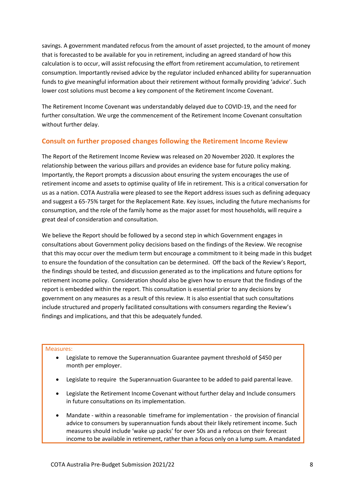savings. A government mandated refocus from the amount of asset projected, to the amount of money that is forecasted to be available for you in retirement, including an agreed standard of how this calculation is to occur, will assist refocusing the effort from retirement accumulation, to retirement consumption. Importantly revised advice by the regulator included enhanced ability for superannuation funds to give meaningful information about their retirement without formally providing 'advice'. Such lower cost solutions must become a key component of the Retirement Income Covenant.

The Retirement Income Covenant was understandably delayed due to COVID-19, and the need for further consultation. We urge the commencement of the Retirement Income Covenant consultation without further delay.

## <span id="page-7-0"></span>**Consult on further proposed changes following the Retirement Income Review**

The Report of the Retirement Income Review was released on 20 November 2020. It explores the relationship between the various pillars and provides an evidence base for future policy making. Importantly, the Report prompts a discussion about ensuring the system encourages the use of retirement income and assets to optimise quality of life in retirement. This is a critical conversation for us as a nation. COTA Australia were pleased to see the Report address issues such as defining adequacy and suggest a 65-75% target for the Replacement Rate. Key issues, including the future mechanisms for consumption, and the role of the family home as the major asset for most households, will require a great deal of consideration and consultation.

We believe the Report should be followed by a second step in which Government engages in consultations about Government policy decisions based on the findings of the Review. We recognise that this may occur over the medium term but encourage a commitment to it being made in this budget to ensure the foundation of the consultation can be determined. Off the back of the Review's Report, the findings should be tested, and discussion generated as to the implications and future options for retirement income policy. Consideration should also be given how to ensure that the findings of the report is embedded within the report. This consultation is essential prior to any decisions by government on any measures as a result of this review. It is also essential that such consultations include structured and properly facilitated consultations with consumers regarding the Review's findings and implications, and that this be adequately funded.

- Legislate to remove the Superannuation Guarantee payment threshold of \$450 per month per employer.
- Legislate to require the Superannuation Guarantee to be added to paid parental leave.
- Legislate the Retirement Income Covenant without further delay and Include consumers in future consultations on its implementation.
- Mandate within a reasonable timeframe for implementation the provision of financial advice to consumers by superannuation funds about their likely retirement income. Such measures should include 'wake up packs' for over 50s and a refocus on their forecast income to be available in retirement, rather than a focus only on a lump sum. A mandated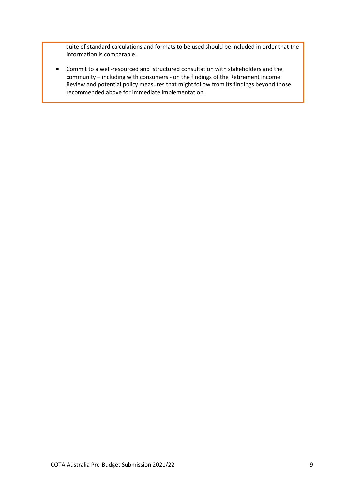suite of standard calculations and formats to be used should be included in order that the information is comparable.

• Commit to a well-resourced and structured consultation with stakeholders and the community – including with consumers - on the findings of the Retirement Income Review and potential policy measures that might follow from its findings beyond those recommended above for immediate implementation.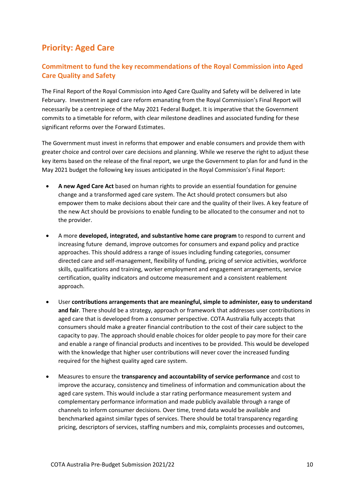# <span id="page-9-0"></span>**Priority: Aged Care**

# <span id="page-9-1"></span>**Commitment to fund the key recommendations of the Royal Commission into Aged Care Quality and Safety**

The Final Report of the Royal Commission into Aged Care Quality and Safety will be delivered in late February. Investment in aged care reform emanating from the Royal Commission's Final Report will necessarily be a centrepiece of the May 2021 Federal Budget. It is imperative that the Government commits to a timetable for reform, with clear milestone deadlines and associated funding for these significant reforms over the Forward Estimates.

The Government must invest in reforms that empower and enable consumers and provide them with greater choice and control over care decisions and planning. While we reserve the right to adjust these key items based on the release of the final report, we urge the Government to plan for and fund in the May 2021 budget the following key issues anticipated in the Royal Commission's Final Report:

- **A new Aged Care Act** based on human rights to provide an essential foundation for genuine change and a transformed aged care system. The Act should protect consumers but also empower them to make decisions about their care and the quality of their lives. A key feature of the new Act should be provisions to enable funding to be allocated to the consumer and not to the provider.
- A more **developed, integrated, and substantive home care program** to respond to current and increasing future demand, improve outcomes for consumers and expand policy and practice approaches. This should address a range of issues including funding categories, consumer directed care and self-management, flexibility of funding, pricing of service activities, workforce skills, qualifications and training, worker employment and engagement arrangements, service certification, quality indicators and outcome measurement and a consistent reablement approach.
- User **contributions arrangements that are meaningful, simple to administer, easy to understand and fair**. There should be a strategy, approach or framework that addresses user contributions in aged care that is developed from a consumer perspective. COTA Australia fully accepts that consumers should make a greater financial contribution to the cost of their care subject to the capacity to pay. The approach should enable choices for older people to pay more for their care and enable a range of financial products and incentives to be provided. This would be developed with the knowledge that higher user contributions will never cover the increased funding required for the highest quality aged care system.
- Measures to ensure the **transparency and accountability of service performance** and cost to improve the accuracy, consistency and timeliness of information and communication about the aged care system. This would include a star rating performance measurement system and complementary performance information and made publicly available through a range of channels to inform consumer decisions. Over time, trend data would be available and benchmarked against similar types of services. There should be total transparency regarding pricing, descriptors of services, staffing numbers and mix, complaints processes and outcomes,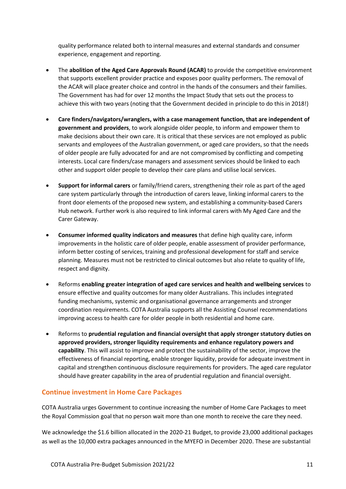quality performance related both to internal measures and external standards and consumer experience, engagement and reporting.

- The **abolition of the Aged Care Approvals Round (ACAR)** to provide the competitive environment that supports excellent provider practice and exposes poor quality performers. The removal of the ACAR will place greater choice and control in the hands of the consumers and their families. The Government has had for over 12 months the Impact Study that sets out the process to achieve this with two years (noting that the Government decided in principle to do this in 2018!)
- **Care finders/navigators/wranglers, with a case management function, that are independent of government and providers**, to work alongside older people, to inform and empower them to make decisions about their own care. It is critical that these services are not employed as public servants and employees of the Australian government, or aged care providers, so that the needs of older people are fully advocated for and are not compromised by conflicting and competing interests. Local care finders/case managers and assessment services should be linked to each other and support older people to develop their care plans and utilise local services.
- **Support for informal carers** or family/friend carers, strengthening their role as part of the aged care system particularly through the introduction of carers leave, linking informal carers to the front door elements of the proposed new system, and establishing a community-based Carers Hub network. Further work is also required to link informal carers with My Aged Care and the Carer Gateway.
- **Consumer informed quality indicators and measures** that define high quality care, inform improvements in the holistic care of older people, enable assessment of provider performance, inform better costing of services, training and professional development for staff and service planning. Measures must not be restricted to clinical outcomes but also relate to quality of life, respect and dignity.
- Reforms **enabling greater integration of aged care services and health and wellbeing services** to ensure effective and quality outcomes for many older Australians. This includes integrated funding mechanisms, systemic and organisational governance arrangements and stronger coordination requirements. COTA Australia supports all the Assisting Counsel recommendations improving access to health care for older people in both residential and home care.
- Reforms to **prudential regulation and financial oversight that apply stronger statutory duties on approved providers, stronger liquidity requirements and enhance regulatory powers and capability**. This will assist to improve and protect the sustainability of the sector, improve the effectiveness of financial reporting, enable stronger liquidity, provide for adequate investment in capital and strengthen continuous disclosure requirements for providers. The aged care regulator should have greater capability in the area of prudential regulation and financial oversight.

## <span id="page-10-0"></span>**Continue investment in Home Care Packages**

COTA Australia urges Government to continue increasing the number of Home Care Packages to meet the Royal Commission goal that no person wait more than one month to receive the care they need.

We acknowledge the \$1.6 billion allocated in the 2020-21 Budget, to provide 23,000 additional packages as well as the 10,000 extra packages announced in the MYEFO in December 2020. These are substantial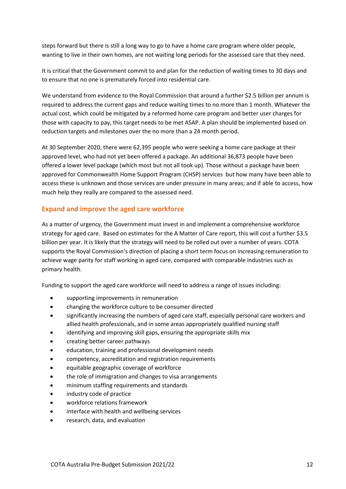steps forward but there is still a long way to go to have a home care program where older people, wanting to live in their own homes, are not waiting long periods for the assessed care that they need.

It is critical that the Government commit to and plan for the reduction of waiting times to 30 days and to ensure that no one is prematurely forced into residential care.

We understand from evidence to the Royal Commission that around a further \$2.5 billion per annum is required to address the current gaps and reduce waiting times to no more than 1 month. Whatever the actual cost, which could be mitigated by a reformed home care program and better user charges for those with capacity to pay, this target needs to be met ASAP. A plan should be implemented based on reduction targets and milestones over the no more than a 24 month period.

At 30 September 2020, there were 62,395 people who were seeking a home care package at their approved level, who had not yet been offered a package. An additional 36,873 people have been offered a lower level package (which most but not all took up). Those without a package have been approved for Commonwealth Home Support Program (CHSP) services but how many have been able to access these is unknown and those services are under pressure in many areas; and if able to access, how much help they really are compared to the assessed need.

## **Expand and improve the aged care workforce**

As a matter of urgency, the Government must invest in and implement a comprehensive workforce strategy for aged care. Based on estimates for the A Matter of Care report, this will cost a further \$3.5 billion per year. It is likely that the strategy will need to be rolled out over a number of years. COTA supports the Royal Commission's direction of placing a short term focus on increasing remuneration to achieve wage parity for staff working in aged care, compared with comparable industries such as primary health.

Funding to support the aged care workforce will need to address a range of issues including:

- supporting improvements in remuneration
- changing the workforce culture to be consumer directed
- significantly increasing the numbers of aged care staff, especially personal care workers and allied health professionals, and in some areas appropriately qualified nursing staff
- identifying and improving skill gaps, ensuring the appropriate skills mix
- creating better career pathways
- education, training and professional development needs
- competency, accreditation and registration requirements
- equitable geographic coverage of workforce
- the role of immigration and changes to visa arrangements
- minimum staffing requirements and standards
- industry code of practice
- workforce relations framework
- interface with health and wellbeing services
- research, data, and evaluation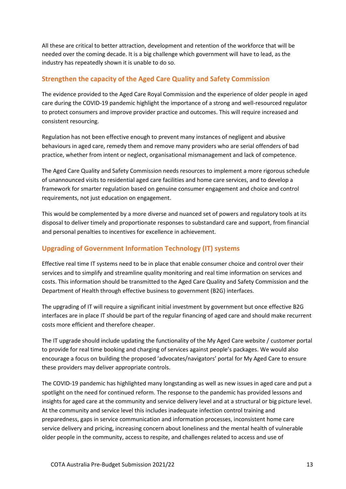All these are critical to better attraction, development and retention of the workforce that will be needed over the coming decade. It is a big challenge which government will have to lead, as the industry has repeatedly shown it is unable to do so.

## <span id="page-12-0"></span>**Strengthen the capacity of the Aged Care Quality and Safety Commission**

The evidence provided to the Aged Care Royal Commission and the experience of older people in aged care during the COVID-19 pandemic highlight the importance of a strong and well-resourced regulator to protect consumers and improve provider practice and outcomes. This will require increased and consistent resourcing.

Regulation has not been effective enough to prevent many instances of negligent and abusive behaviours in aged care, remedy them and remove many providers who are serial offenders of bad practice, whether from intent or neglect, organisational mismanagement and lack of competence.

The Aged Care Quality and Safety Commission needs resources to implement a more rigorous schedule of unannounced visits to residential aged care facilities and home care services, and to develop a framework for smarter regulation based on genuine consumer engagement and choice and control requirements, not just education on engagement.

This would be complemented by a more diverse and nuanced set of powers and regulatory tools at its disposal to deliver timely and proportionate responses to substandard care and support, from financial and personal penalties to incentives for excellence in achievement.

## <span id="page-12-1"></span>**Upgrading of Government Information Technology (IT) systems**

Effective real time IT systems need to be in place that enable consumer choice and control over their services and to simplify and streamline quality monitoring and real time information on services and costs. This information should be transmitted to the Aged Care Quality and Safety Commission and the Department of Health through effective business to government (B2G) interfaces.

The upgrading of IT will require a significant initial investment by government but once effective B2G interfaces are in place IT should be part of the regular financing of aged care and should make recurrent costs more efficient and therefore cheaper.

The IT upgrade should include updating the functionality of the My Aged Care website / customer portal to provide for real time booking and charging of services against people's packages. We would also encourage a focus on building the proposed 'advocates/navigators' portal for My Aged Care to ensure these providers may deliver appropriate controls.

The COVID-19 pandemic has highlighted many longstanding as well as new issues in aged care and put a spotlight on the need for continued reform. The response to the pandemic has provided lessons and insights for aged care at the community and service delivery level and at a structural or big picture level. At the community and service level this includes inadequate infection control training and preparedness, gaps in service communication and information processes, inconsistent home care service delivery and pricing, increasing concern about loneliness and the mental health of vulnerable older people in the community, access to respite, and challenges related to access and use of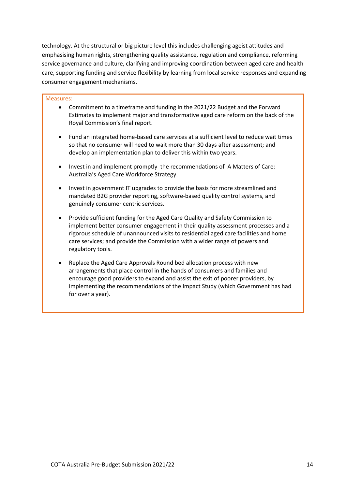technology. At the structural or big picture level this includes challenging ageist attitudes and emphasising human rights, strengthening quality assistance, regulation and compliance, reforming service governance and culture, clarifying and improving coordination between aged care and health care, supporting funding and service flexibility by learning from local service responses and expanding consumer engagement mechanisms.

- Commitment to a timeframe and funding in the 2021/22 Budget and the Forward Estimates to implement major and transformative aged care reform on the back of the Royal Commission's final report.
- Fund an integrated home-based care services at a sufficient level to reduce wait times so that no consumer will need to wait more than 30 days after assessment; and develop an implementation plan to deliver this within two years.
- Invest in and implement promptly the recommendations of A Matters of Care: Australia's Aged Care Workforce Strategy.
- Invest in government IT upgrades to provide the basis for more streamlined and mandated B2G provider reporting, software-based quality control systems, and genuinely consumer centric services.
- Provide sufficient funding for the Aged Care Quality and Safety Commission to implement better consumer engagement in their quality assessment processes and a rigorous schedule of unannounced visits to residential aged care facilities and home care services; and provide the Commission with a wider range of powers and regulatory tools.
- Replace the Aged Care Approvals Round bed allocation process with new arrangements that place control in the hands of consumers and families and encourage good providers to expand and assist the exit of poorer providers, by implementing the recommendations of the Impact Study (which Government has had for over a year).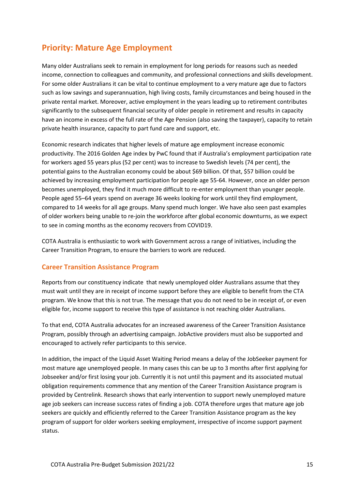# <span id="page-14-0"></span>**Priority: Mature Age Employment**

Many older Australians seek to remain in employment for long periods for reasons such as needed income, connection to colleagues and community, and professional connections and skills development. For some older Australians it can be vital to continue employment to a very mature age due to factors such as low savings and superannuation, high living costs, family circumstances and being housed in the private rental market. Moreover, active employment in the years leading up to retirement contributes significantly to the subsequent financial security of older people in retirement and results in capacity have an income in excess of the full rate of the Age Pension (also saving the taxpayer), capacity to retain private health insurance, capacity to part fund care and support, etc.

Economic research indicates that higher levels of mature age employment increase economic productivity. The 2016 Golden Age index by PwC found that if Australia's employment participation rate for workers aged 55 years plus (52 per cent) was to increase to Swedish levels (74 per cent), the potential gains to the Australian economy could be about \$69 billion. Of that, \$57 billion could be achieved by increasing employment participation for people age 55-64. However, once an older person becomes unemployed, they find it much more difficult to re-enter employment than younger people. People aged 55–64 years spend on average 36 weeks looking for work until they find employment, compared to 14 weeks for all age groups. Many spend much longer. We have also seen past examples of older workers being unable to re-join the workforce after global economic downturns, as we expect to see in coming months as the economy recovers from COVID19.

COTA Australia is enthusiastic to work with Government across a range of initiatives, including the Career Transition Program, to ensure the barriers to work are reduced.

## <span id="page-14-1"></span>**Career Transition Assistance Program**

Reports from our constituency indicate that newly unemployed older Australians assume that they must wait until they are in receipt of income support before they are eligible to benefit from the CTA program. We know that this is not true. The message that you do not need to be in receipt of, or even eligible for, income support to receive this type of assistance is not reaching older Australians.

To that end, COTA Australia advocates for an increased awareness of the Career Transition Assistance Program, possibly through an advertising campaign. JobActive providers must also be supported and encouraged to actively refer participants to this service.

In addition, the impact of the Liquid Asset Waiting Period means a delay of the JobSeeker payment for most mature age unemployed people. In many cases this can be up to 3 months after first applying for Jobseeker and/or first losing your job. Currently it is not until this payment and its associated mutual obligation requirements commence that any mention of the Career Transition Assistance program is provided by Centrelink. Research shows that early intervention to support newly unemployed mature age job seekers can increase success rates of finding a job. COTA therefore urges that mature age job seekers are quickly and efficiently referred to the Career Transition Assistance program as the key program of support for older workers seeking employment, irrespective of income support payment status.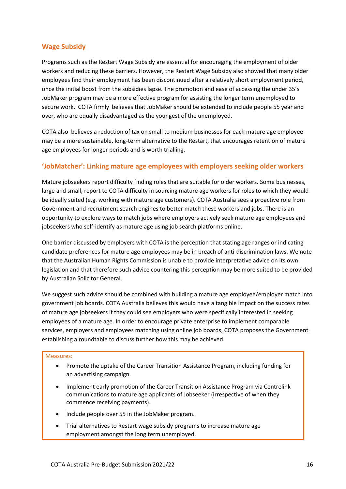## <span id="page-15-0"></span>**Wage Subsidy**

Programs such as the Restart Wage Subsidy are essential for encouraging the employment of older workers and reducing these barriers. However, the Restart Wage Subsidy also showed that many older employees find their employment has been discontinued after a relatively short employment period, once the initial boost from the subsidies lapse. The promotion and ease of accessing the under 35's JobMaker program may be a more effective program for assisting the longer term unemployed to secure work. COTA firmly believes that JobMaker should be extended to include people 55 year and over, who are equally disadvantaged as the youngest of the unemployed.

COTA also believes a reduction of tax on small to medium businesses for each mature age employee may be a more sustainable, long-term alternative to the Restart, that encourages retention of mature age employees for longer periods and is worth trialling.

## <span id="page-15-1"></span>**'JobMatcher': Linking mature age employees with employers seeking older workers**

Mature jobseekers report difficulty finding roles that are suitable for older workers. Some businesses, large and small, report to COTA difficulty in sourcing mature age workers for roles to which they would be ideally suited (e.g. working with mature age customers). COTA Australia sees a proactive role from Government and recruitment search engines to better match these workers and jobs. There is an opportunity to explore ways to match jobs where employers actively seek mature age employees and jobseekers who self-identify as mature age using job search platforms online.

One barrier discussed by employers with COTA is the perception that stating age ranges or indicating candidate preferences for mature age employees may be in breach of anti-discrimination laws. We note that the Australian Human Rights Commission is unable to provide interpretative advice on its own legislation and that therefore such advice countering this perception may be more suited to be provided by Australian Solicitor General.

We suggest such advice should be combined with building a mature age employee/employer match into government job boards. COTA Australia believes this would have a tangible impact on the success rates of mature age jobseekers if they could see employers who were specifically interested in seeking employees of a mature age. In order to encourage private enterprise to implement comparable services, employers and employees matching using online job boards, COTA proposes the Government establishing a roundtable to discuss further how this may be achieved.

- Promote the uptake of the Career Transition Assistance Program, including funding for an advertising campaign.
- Implement early promotion of the Career Transition Assistance Program via Centrelink communications to mature age applicants of Jobseeker (irrespective of when they commence receiving payments).
- Include people over 55 in the JobMaker program.
- Trial alternatives to Restart wage subsidy programs to increase mature age employment amongst the long term unemployed.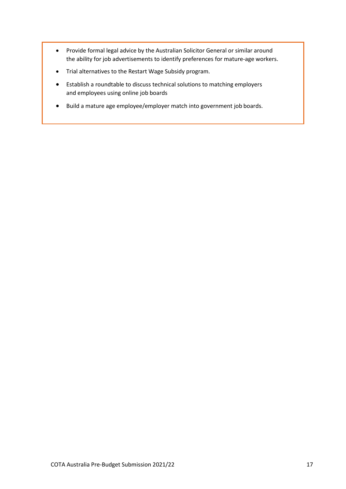- Provide formal legal advice by the Australian Solicitor General or similar around the ability for job advertisements to identify preferences for mature-age workers.
- Trial alternatives to the Restart Wage Subsidy program.
- Establish a roundtable to discuss technical solutions to matching employers and employees using online job boards
- Build a mature age employee/employer match into government job boards.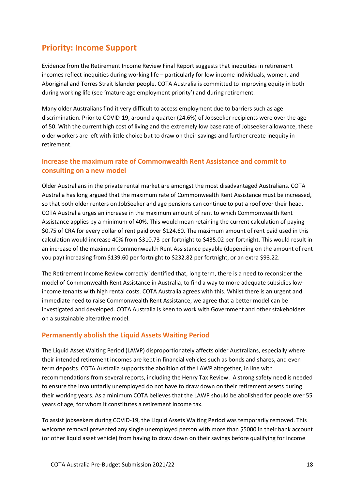# <span id="page-17-0"></span>**Priority: Income Support**

Evidence from the Retirement Income Review Final Report suggests that inequities in retirement incomes reflect inequities during working life – particularly for low income individuals, women, and Aboriginal and Torres Strait Islander people. COTA Australia is committed to improving equity in both during working life (see 'mature age employment priority') and during retirement.

Many older Australians find it very difficult to access employment due to barriers such as age discrimination. Prior to COVID-19, around a quarter (24.6%) of Jobseeker recipients were over the age of 50. With the current high cost of living and the extremely low base rate of Jobseeker allowance, these older workers are left with little choice but to draw on their savings and further create inequity in retirement.

## <span id="page-17-1"></span>**Increase the maximum rate of Commonwealth Rent Assistance and commit to consulting on a new model**

Older Australians in the private rental market are amongst the most disadvantaged Australians. COTA Australia has long argued that the maximum rate of Commonwealth Rent Assistance must be increased, so that both older renters on JobSeeker and age pensions can continue to put a roof over their head. COTA Australia urges an increase in the maximum amount of rent to which Commonwealth Rent Assistance applies by a minimum of 40%. This would mean retaining the current calculation of paying \$0.75 of CRA for every dollar of rent paid over \$124.60. The maximum amount of rent paid used in this calculation would increase 40% from \$310.73 per fortnight to \$435.02 per fortnight. This would result in an increase of the maximum Commonwealth Rent Assistance payable (depending on the amount of rent you pay) increasing from \$139.60 per fortnight to \$232.82 per fortnight, or an extra \$93.22.

The Retirement Income Review correctly identified that, long term, there is a need to reconsider the model of Commonwealth Rent Assistance in Australia, to find a way to more adequate subsidies lowincome tenants with high rental costs. COTA Australia agrees with this. Whilst there is an urgent and immediate need to raise Commonwealth Rent Assistance, we agree that a better model can be investigated and developed. COTA Australia is keen to work with Government and other stakeholders on a sustainable alterative model.

## <span id="page-17-2"></span>**Permanently abolish the Liquid Assets Waiting Period**

The Liquid Asset Waiting Period (LAWP) disproportionately affects older Australians, especially where their intended retirement incomes are kept in financial vehicles such as bonds and shares, and even term deposits. COTA Australia supports the abolition of the LAWP altogether, in line with recommendations from several reports, including the Henry Tax Review. A strong safety need is needed to ensure the involuntarily unemployed do not have to draw down on their retirement assets during their working years. As a minimum COTA believes that the LAWP should be abolished for people over 55 years of age, for whom it constitutes a retirement income tax.

To assist jobseekers during COVID-19, the Liquid Assets Waiting Period was temporarily removed. This welcome removal prevented any single unemployed person with more than \$5000 in their bank account (or other liquid asset vehicle) from having to draw down on their savings before qualifying for income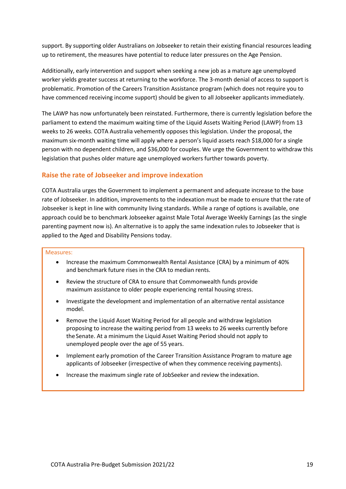support. By supporting older Australians on Jobseeker to retain their existing financial resources leading up to retirement, the measures have potential to reduce later pressures on the Age Pension.

Additionally, early intervention and support when seeking a new job as a mature age unemployed worker yields greater success at returning to the workforce. The 3-month denial of access to support is problematic. Promotion of the Careers Transition Assistance program (which does not require you to have commenced receiving income support) should be given to all Jobseeker applicants immediately.

The LAWP has now unfortunately been reinstated. Furthermore, there is currently legislation before the parliament to extend the maximum waiting time of the Liquid Assets Waiting Period (LAWP) from 13 weeks to 26 weeks. COTA Australia vehemently opposes this legislation. Under the proposal, the maximum six-month waiting time will apply where a person's liquid assets reach \$18,000 for a single person with no dependent children, and \$36,000 for couples. We urge the Government to withdraw this legislation that pushes older mature age unemployed workers further towards poverty.

## <span id="page-18-0"></span>**Raise the rate of Jobseeker and improve indexation**

COTA Australia urges the Government to implement a permanent and adequate increase to the base rate of Jobseeker. In addition, improvements to the indexation must be made to ensure that the rate of Jobseeker is kept in line with community living standards. While a range of options is available, one approach could be to benchmark Jobseeker against Male Total Average Weekly Earnings (as the single parenting payment now is). An alternative is to apply the same indexation rules to Jobseeker that is applied to the Aged and Disability Pensions today.

- Increase the maximum Commonwealth Rental Assistance (CRA) by a minimum of 40% and benchmark future rises in the CRA to median rents.
- Review the structure of CRA to ensure that Commonwealth funds provide maximum assistance to older people experiencing rental housing stress.
- Investigate the development and implementation of an alternative rental assistance model.
- Remove the Liquid Asset Waiting Period for all people and withdraw legislation proposing to increase the waiting period from 13 weeks to 26 weeks currently before the Senate. At a minimum the Liquid Asset Waiting Period should not apply to unemployed people over the age of 55 years.
- Implement early promotion of the Career Transition Assistance Program to mature age applicants of Jobseeker (irrespective of when they commence receiving payments).
- Increase the maximum single rate of JobSeeker and review the indexation.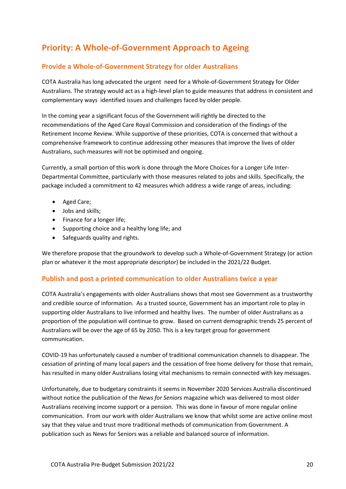# <span id="page-19-0"></span>**Priority: A Whole-of-Government Approach to Ageing**

## <span id="page-19-1"></span>**Provide a Whole-of-Government Strategy for older Australians**

COTA Australia has long advocated the urgent need for a Whole-of-Government Strategy for Older Australians. The strategy would act as a high-level plan to guide measures that address in consistent and complementary ways identified issues and challenges faced by older people.

In the coming year a significant focus of the Government will rightly be directed to the recommendations of the Aged Care Royal Commission and consideration of the findings of the Retirement Income Review. While supportive of these priorities, COTA is concerned that without a comprehensive framework to continue addressing other measures that improve the lives of older Australians, such measures will not be optimised and ongoing.

Currently, a small portion of this work is done through the More Choices for a Longer Life Inter-Departmental Committee, particularly with those measures related to jobs and skills. Specifically, the package included a commitment to 42 measures which address a wide range of areas, including:

- Aged Care;
- Jobs and skills;
- Finance for a longer life;
- Supporting choice and a healthy long life; and
- Safeguards quality and rights.

We therefore propose that the groundwork to develop such a Whole-of-Government Strategy (or action plan or whatever it the most appropriate descriptor) be included in the 2021/22 Budget.

#### <span id="page-19-2"></span>**Publish and post a printed communication to older Australians twice a year**

COTA Australia's engagements with older Australians shows that most see Government as a trustworthy and credible source of information. As a trusted source, Government has an important role to play in supporting older Australians to live informed and healthy lives. The number of older Australians as a proportion of the population will continue to grow. Based on current demographic trends 25 percent of Australians will be over the age of 65 by 2050. This is a key target group for government communication.

COVID-19 has unfortunately caused a number of traditional communication channels to disappear. The cessation of printing of many local papers and the cessation of free home delivery for those that remain, has resulted in many older Australians losing vital mechanisms to remain connected with key messages.

Unfortunately, due to budgetary constraints it seems in November 2020 Services Australia discontinued without notice the publication of the *News for Seniors* magazine which was delivered to most older Australians receiving income support or a pension. This was done in favour of more regular online communication. From our work with older Australians we know that whilst some are active online most say that they value and trust more traditional methods of communication from Government. A publication such as News for Seniors was a reliable and balanced source of information.